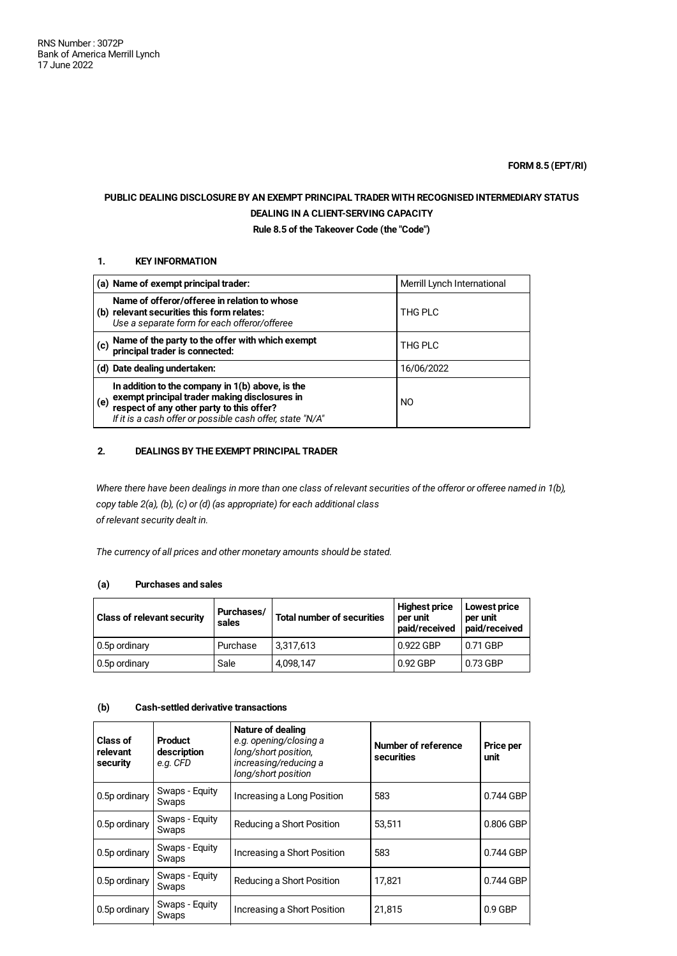### **FORM 8.5 (EPT/RI)**

# **PUBLIC DEALING DISCLOSURE BY AN EXEMPT PRINCIPAL TRADER WITH RECOGNISED INTERMEDIARY STATUS**

**DEALING IN A CLIENT-SERVING CAPACITY**

**Rule 8.5 of the Takeover Code (the "Code")**

### **1. KEY INFORMATION**

| (a) Name of exempt principal trader:                                                                                                                                                                                 | Merrill Lynch International |
|----------------------------------------------------------------------------------------------------------------------------------------------------------------------------------------------------------------------|-----------------------------|
| Name of offeror/offeree in relation to whose<br>(b) relevant securities this form relates:<br>Use a separate form for each offeror/offeree                                                                           | THG PLC                     |
| Name of the party to the offer with which exempt<br>principal trader is connected:<br>(c)                                                                                                                            | THG PLC                     |
| (d) Date dealing undertaken:                                                                                                                                                                                         | 16/06/2022                  |
| In addition to the company in $1(b)$ above, is the<br>exempt principal trader making disclosures in<br>respect of any other party to this offer?<br>(e)<br>If it is a cash offer or possible cash offer, state "N/A" | NO                          |

### **2. DEALINGS BY THE EXEMPT PRINCIPAL TRADER**

Where there have been dealings in more than one class of relevant securities of the offeror or offeree named in 1(b), *copy table 2(a), (b), (c) or (d) (as appropriate) for each additional class of relevant security dealt in.*

*The currency of all prices and other monetary amounts should be stated.*

### **(a) Purchases and sales**

| <b>Class of relevant security</b> | Purchases/<br>sales | <b>Total number of securities</b> | <b>Highest price</b><br>per unit<br>paid/received | Lowest price<br>per unit<br>paid/received |
|-----------------------------------|---------------------|-----------------------------------|---------------------------------------------------|-------------------------------------------|
| 0.5p ordinary                     | Purchase            | 3,317,613                         | 0.922 GBP                                         | 0.71 GBP                                  |
| 0.5p ordinary                     | Sale                | 4,098,147                         | 0.92 GBP                                          | 0.73 GBP                                  |

### **(b) Cash-settled derivative transactions**

| Class of<br>relevant<br>security | <b>Product</b><br>description<br>e.g. CFD | Nature of dealing<br>e.g. opening/closing a<br>long/short position,<br>increasing/reducing a<br>long/short position | Number of reference<br>securities | Price per<br>unit |
|----------------------------------|-------------------------------------------|---------------------------------------------------------------------------------------------------------------------|-----------------------------------|-------------------|
| 0.5p ordinary                    | Swaps - Equity<br>Swaps                   | Increasing a Long Position                                                                                          | 583                               | 0.744 GBP         |
| 0.5p ordinary                    | Swaps - Equity<br>Swaps                   | Reducing a Short Position                                                                                           | 53,511                            | 0.806 GBP         |
| 0.5p ordinary                    | Swaps - Equity<br>Swaps                   | Increasing a Short Position                                                                                         | 583                               | 0.744 GBP         |
| 0.5p ordinary                    | Swaps - Equity<br>Swaps                   | Reducing a Short Position                                                                                           | 17.821                            | 0.744 GBP         |
| 0.5p ordinary                    | Swaps - Equity<br>Swaps                   | Increasing a Short Position                                                                                         | 21.815                            | $0.9$ GBP         |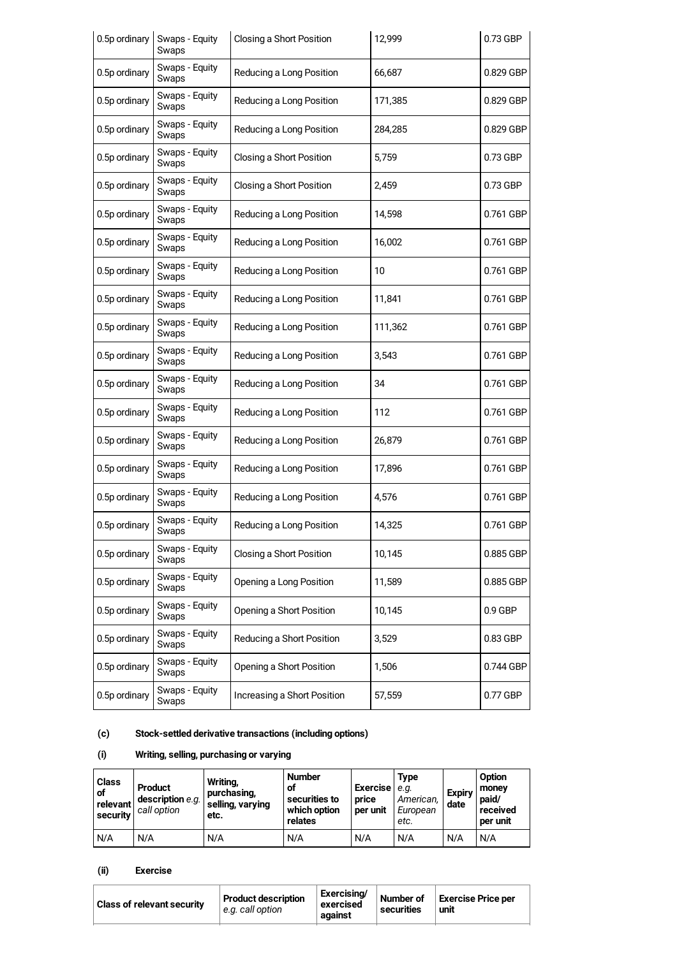| 0.5p ordinary | Swaps - Equity<br>Swaps | Closing a Short Position    | 12.999  | 0.73 GBP  |
|---------------|-------------------------|-----------------------------|---------|-----------|
| 0.5p ordinary | Swaps - Equity<br>Swaps | Reducing a Long Position    | 66,687  | 0.829 GBP |
| 0.5p ordinary | Swaps - Equity<br>Swaps | Reducing a Long Position    | 171,385 | 0.829 GBP |
| 0.5p ordinary | Swaps - Equity<br>Swaps | Reducing a Long Position    | 284,285 | 0.829 GBP |
| 0.5p ordinary | Swaps - Equity<br>Swaps | Closing a Short Position    | 5,759   | 0.73 GBP  |
| 0.5p ordinary | Swaps - Equity<br>Swaps | Closing a Short Position    | 2,459   | 0.73 GBP  |
| 0.5p ordinary | Swaps - Equity<br>Swaps | Reducing a Long Position    | 14,598  | 0.761 GBP |
| 0.5p ordinary | Swaps - Equity<br>Swaps | Reducing a Long Position    | 16,002  | 0.761 GBP |
| 0.5p ordinary | Swaps - Equity<br>Swaps | Reducing a Long Position    | 10      | 0.761 GBP |
| 0.5p ordinary | Swaps - Equity<br>Swaps | Reducing a Long Position    | 11,841  | 0.761 GBP |
| 0.5p ordinary | Swaps - Equity<br>Swaps | Reducing a Long Position    | 111,362 | 0.761 GBP |
| 0.5p ordinary | Swaps - Equity<br>Swaps | Reducing a Long Position    | 3,543   | 0.761 GBP |
| 0.5p ordinary | Swaps - Equity<br>Swaps | Reducing a Long Position    | 34      | 0.761 GBP |
| 0.5p ordinary | Swaps - Equity<br>Swaps | Reducing a Long Position    | 112     | 0.761 GBP |
| 0.5p ordinary | Swaps - Equity<br>Swaps | Reducing a Long Position    | 26,879  | 0.761 GBP |
| 0.5p ordinary | Swaps - Equity<br>Swaps | Reducing a Long Position    | 17,896  | 0.761 GBP |
| 0.5p ordinary | Swaps - Equity<br>Swaps | Reducing a Long Position    | 4,576   | 0.761 GBP |
| 0.5p ordinary | Swaps - Equity<br>Swaps | Reducing a Long Position    | 14,325  | 0.761 GBP |
| 0.5p ordinary | Swaps - Equity<br>Swaps | Closing a Short Position    | 10,145  | 0.885 GBP |
| 0.5p ordinary | Swaps - Equity<br>Swaps | Opening a Long Position     | 11,589  | 0.885 GBP |
| 0.5p ordinary | Swaps - Equity<br>Swaps | Opening a Short Position    | 10,145  | $0.9$ GBP |
| 0.5p ordinary | Swaps - Equity<br>Swaps | Reducing a Short Position   | 3,529   | 0.83 GBP  |
| 0.5p ordinary | Swaps - Equity<br>Swaps | Opening a Short Position    | 1,506   | 0.744 GBP |
| 0.5p ordinary | Swaps - Equity<br>Swaps | Increasing a Short Position | 57,559  | 0.77 GBP  |

## **(c) Stock-settled derivative transactions (including options)**

# **(i) Writing, selling, purchasing or varying**

| <b>Class</b><br>. of<br>relevant<br>security | <b>Product</b><br>description e.g.<br>call option | Writing,<br>purchasing,<br>selling, varying<br>etc. | <b>Number</b><br>оf<br>securities to<br>which option<br>relates | <b>Exercise</b> e.g.<br>price<br>per unit | <b>Type</b><br>American,<br>European<br>etc. | <b>Expiry</b><br>date | Option<br>money<br>paid/<br>received<br>per unit |
|----------------------------------------------|---------------------------------------------------|-----------------------------------------------------|-----------------------------------------------------------------|-------------------------------------------|----------------------------------------------|-----------------------|--------------------------------------------------|
| N/A                                          | N/A                                               | N/A                                                 | N/A                                                             | N/A                                       | N/A                                          | N/A                   | N/A                                              |

## **(ii) Exercise**

| <b>Class of relevant security</b> | <b>Product description</b><br>e.a. call option | Exercisina/<br>exercised<br>against | Number of<br>securities | Exercise Price per<br>unit |
|-----------------------------------|------------------------------------------------|-------------------------------------|-------------------------|----------------------------|
|-----------------------------------|------------------------------------------------|-------------------------------------|-------------------------|----------------------------|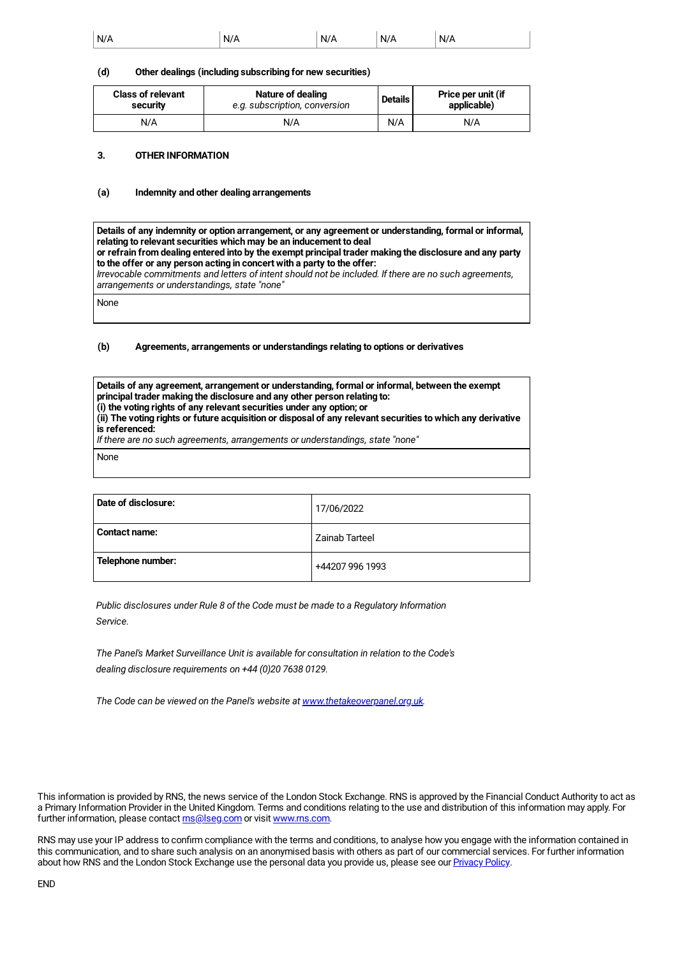| N/A<br>N<br>N<br>N<br><br>., |
|------------------------------|
|------------------------------|

### **(d) Other dealings (including subscribing for new securities)**

| <b>Class of relevant</b> | Nature of dealing             | Details | Price per unit (if |
|--------------------------|-------------------------------|---------|--------------------|
| security                 | e.g. subscription, conversion |         | applicable)        |
| N/A                      | N/A                           | N/A     | N/A                |

### **3. OTHER INFORMATION**

#### **(a) Indemnity and other dealing arrangements**

**Details of any indemnity or option arrangement, or any agreement or understanding, formal or informal, relating to relevant securities which may be an inducement to deal or refrain from dealing entered into by the exempt principal trader making the disclosure and any party to the offer or any person acting in concert with a party to the offer:** *Irrevocable commitments and letters of intent should not be included. If there are no such agreements, arrangements or understandings, state "none"*

None

### **(b) Agreements, arrangements or understandings relating to options or derivatives**

**Details of any agreement, arrangement or understanding, formal or informal, between the exempt principal trader making the disclosure and any other person relating to: (i) the voting rights of any relevant securities under any option; or** (ii) The voting rights or future acquisition or disposal of any relevant securities to which any derivative **is referenced:** *If there are no such agreements, arrangements or understandings, state "none"*

**None** 

| Date of disclosure:  | 17/06/2022            |
|----------------------|-----------------------|
| <b>Contact name:</b> | <b>Zainab Tarteel</b> |
| Telephone number:    | +44207 996 1993       |

*Public disclosures under Rule 8 of the Code must be made to a Regulatory Information Service.*

*The Panel's Market Surveillance Unit is available for consultation in relation to the Code's dealing disclosure requirements on +44 (0)20 7638 0129.*

*The Code can be viewed on the Panel's website at [www.thetakeoverpanel.org.uk](http://www.thetakeoverpanel.org.uk/).*

This information is provided by RNS, the news service of the London Stock Exchange. RNS is approved by the Financial Conduct Authority to act as a Primary Information Provider in the United Kingdom. Terms and conditions relating to the use and distribution of this information may apply. For further information, please contact [rns@lseg.com](mailto:rns@lseg.com) or visit [www.rns.com](http://www.rns.com/).

RNS may use your IP address to confirm compliance with the terms and conditions, to analyse how you engage with the information contained in this communication, and to share such analysis on an anonymised basis with others as part of our commercial services. For further information about how RNS and the London Stock Exchange use the personal data you provide us, please see our [Privacy](https://www.lseg.com/privacy-and-cookie-policy) Policy.